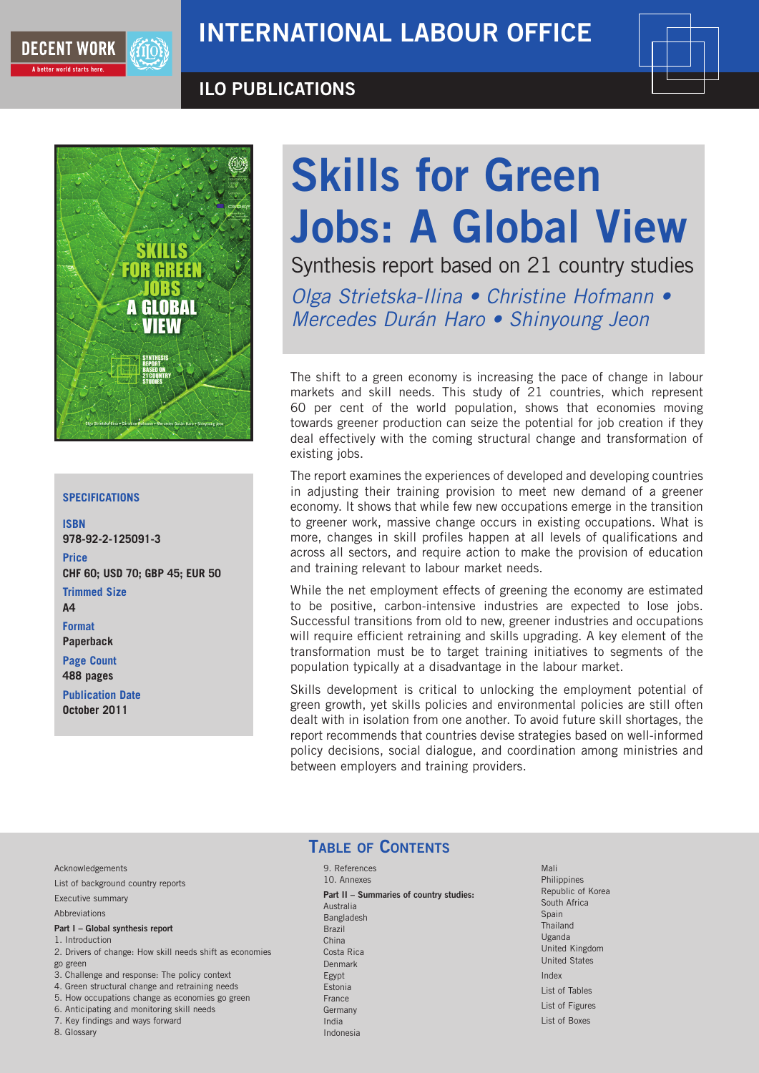

### ILO PUBLICATIONS





#### **Specifications**

**ISBN 978-92-2-125091-3 Price CHF 60; USD 70; GBP 45; EUR 50 Trimmed Size A4 Format Paperback Page Count 488 pages**

**Publication Date October 2011**

# Skills for Green Jobs: A Global View

Synthesis report based on 21 country studies Olga Strietska-Ilina • Christine Hofmann • Mercedes Durán Haro • Shinyoung Jeon

The shift to a green economy is increasing the pace of change in labour markets and skill needs. This study of 21 countries, which represent 60 per cent of the world population, shows that economies moving towards greener production can seize the potential for job creation if they deal effectively with the coming structural change and transformation of existing jobs.

The report examines the experiences of developed and developing countries in adjusting their training provision to meet new demand of a greener economy. It shows that while few new occupations emerge in the transition to greener work, massive change occurs in existing occupations. What is more, changes in skill profiles happen at all levels of qualifications and across all sectors, and require action to make the provision of education and training relevant to labour market needs.

While the net employment effects of greening the economy are estimated to be positive, carbon-intensive industries are expected to lose jobs. Successful transitions from old to new, greener industries and occupations will require efficient retraining and skills upgrading. A key element of the transformation must be to target training initiatives to segments of the population typically at a disadvantage in the labour market.

Skills development is critical to unlocking the employment potential of green growth, yet skills policies and environmental policies are still often dealt with in isolation from one another. To avoid future skill shortages, the report recommends that countries devise strategies based on well-informed policy decisions, social dialogue, and coordination among ministries and between employers and training providers.

Acknowledgements

List of background country reports

Executive summary

Abbreviations

#### Part I – Global synthesis report

- 1. Introduction 2. Drivers of change: How skill needs shift as economies
- go green
- 3. Challenge and response: The policy context
- 4. Green structural change and retraining needs
- 5. How occupations change as economies go green 6. Anticipating and monitoring skill needs
- 7. Key findings and ways forward
- 
- 8. Glossary

## TABLE OF CONTENTS

9. References 10. Annexes Part II – Summaries of country studies: Australia Bangladesh Brazil China Costa Rica Denmark Egypt Estonia France Germany India Indonesia

Mali **Philippines** Republic of Korea South Africa Spain Thailand Uganda United Kingdom United States Index List of Tables List of Figures List of Boxes